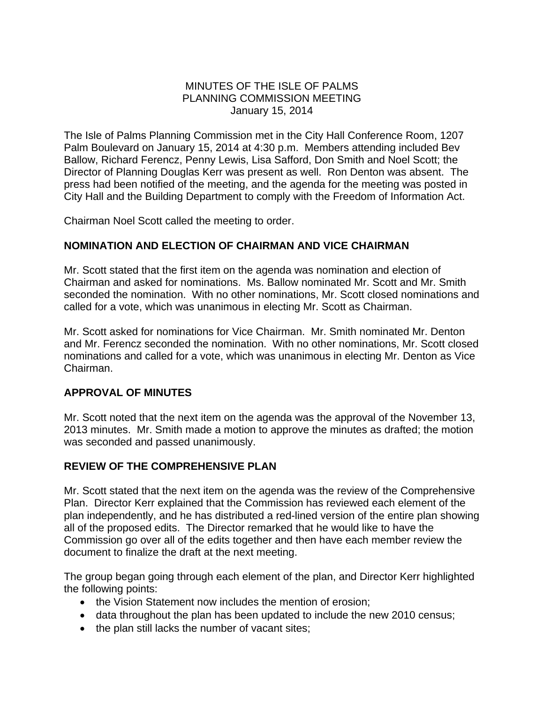### MINUTES OF THE ISLE OF PALMS PLANNING COMMISSION MEETING January 15, 2014

The Isle of Palms Planning Commission met in the City Hall Conference Room, 1207 Palm Boulevard on January 15, 2014 at 4:30 p.m. Members attending included Bev Ballow, Richard Ferencz, Penny Lewis, Lisa Safford, Don Smith and Noel Scott; the Director of Planning Douglas Kerr was present as well. Ron Denton was absent. The press had been notified of the meeting, and the agenda for the meeting was posted in City Hall and the Building Department to comply with the Freedom of Information Act.

Chairman Noel Scott called the meeting to order.

# **NOMINATION AND ELECTION OF CHAIRMAN AND VICE CHAIRMAN**

Mr. Scott stated that the first item on the agenda was nomination and election of Chairman and asked for nominations. Ms. Ballow nominated Mr. Scott and Mr. Smith seconded the nomination. With no other nominations, Mr. Scott closed nominations and called for a vote, which was unanimous in electing Mr. Scott as Chairman.

Mr. Scott asked for nominations for Vice Chairman. Mr. Smith nominated Mr. Denton and Mr. Ferencz seconded the nomination. With no other nominations, Mr. Scott closed nominations and called for a vote, which was unanimous in electing Mr. Denton as Vice Chairman.

## **APPROVAL OF MINUTES**

Mr. Scott noted that the next item on the agenda was the approval of the November 13, 2013 minutes. Mr. Smith made a motion to approve the minutes as drafted; the motion was seconded and passed unanimously.

# **REVIEW OF THE COMPREHENSIVE PLAN**

Mr. Scott stated that the next item on the agenda was the review of the Comprehensive Plan. Director Kerr explained that the Commission has reviewed each element of the plan independently, and he has distributed a red-lined version of the entire plan showing all of the proposed edits. The Director remarked that he would like to have the Commission go over all of the edits together and then have each member review the document to finalize the draft at the next meeting.

The group began going through each element of the plan, and Director Kerr highlighted the following points:

- the Vision Statement now includes the mention of erosion;
- data throughout the plan has been updated to include the new 2010 census;
- the plan still lacks the number of vacant sites;